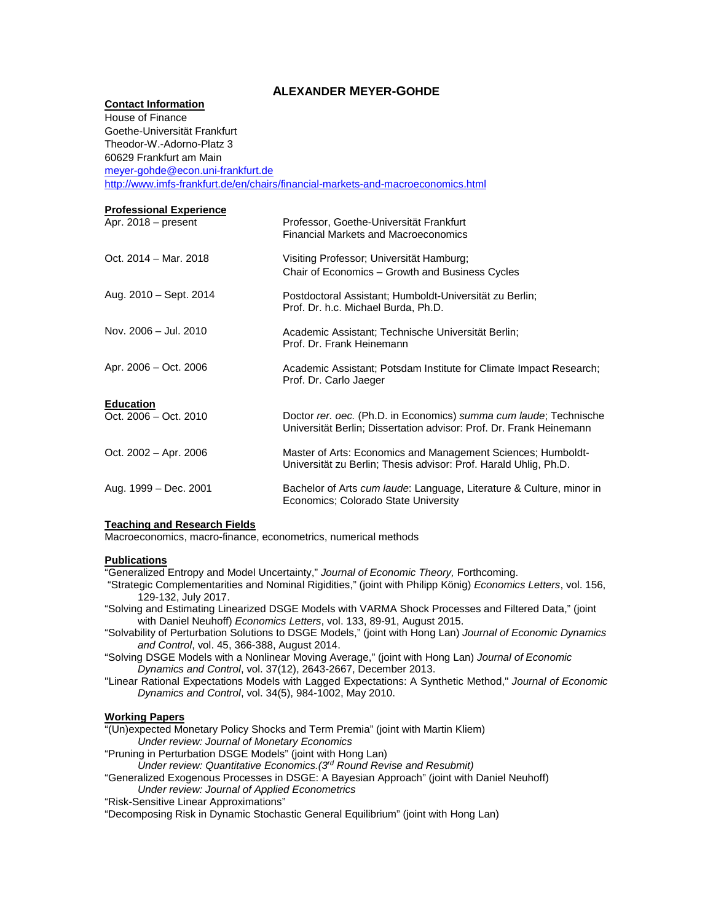# **ALEXANDER MEYER-GOHDE**

# **Contact Information**

| House of Finance                  |                                                                                                                                  |
|-----------------------------------|----------------------------------------------------------------------------------------------------------------------------------|
| Goethe-Universität Frankfurt      |                                                                                                                                  |
| Theodor-W.-Adorno-Platz 3         |                                                                                                                                  |
| 60629 Frankfurt am Main           |                                                                                                                                  |
| meyer-gohde@econ.uni-frankfurt.de |                                                                                                                                  |
|                                   | http://www.imfs-frankfurt.de/en/chairs/financial-markets-and-macroeconomics.html                                                 |
| <b>Professional Experience</b>    |                                                                                                                                  |
| Apr. $2018$ – present             | Professor, Goethe-Universität Frankfurt                                                                                          |
|                                   | <b>Financial Markets and Macroeconomics</b>                                                                                      |
|                                   |                                                                                                                                  |
| Oct. 2014 - Mar. 2018             | Visiting Professor; Universität Hamburg;                                                                                         |
|                                   | Chair of Economics - Growth and Business Cycles                                                                                  |
| Aug. 2010 - Sept. 2014            |                                                                                                                                  |
|                                   | Postdoctoral Assistant; Humboldt-Universität zu Berlin;<br>Prof. Dr. h.c. Michael Burda, Ph.D.                                   |
|                                   |                                                                                                                                  |
| Nov. 2006 - Jul. 2010             | Academic Assistant; Technische Universität Berlin;                                                                               |
|                                   | Prof. Dr. Frank Heinemann                                                                                                        |
| Apr. 2006 - Oct. 2006             |                                                                                                                                  |
|                                   | Academic Assistant: Potsdam Institute for Climate Impact Research:<br>Prof. Dr. Carlo Jaeger                                     |
|                                   |                                                                                                                                  |
| <b>Education</b>                  |                                                                                                                                  |
| Oct. 2006 - Oct. 2010             | Doctor rer. oec. (Ph.D. in Economics) summa cum laude; Technische                                                                |
|                                   | Universität Berlin; Dissertation advisor: Prof. Dr. Frank Heinemann                                                              |
|                                   |                                                                                                                                  |
| Oct. 2002 - Apr. 2006             | Master of Arts: Economics and Management Sciences; Humboldt-<br>Universität zu Berlin; Thesis advisor: Prof. Harald Uhlig, Ph.D. |
|                                   |                                                                                                                                  |
| Aug. 1999 – Dec. 2001             | Bachelor of Arts cum laude: Language, Literature & Culture, minor in                                                             |
|                                   | Economics; Colorado State University                                                                                             |

### **Teaching and Research Fields**

Macroeconomics, macro-finance, econometrics, numerical methods

#### **Publications**

"Generalized Entropy and Model Uncertainty," *Journal of Economic Theory,* Forthcoming.

"Strategic Complementarities and Nominal Rigidities," (joint with Philipp König) *Economics Letters*, vol. 156, 129-132, July 2017.

"Solving and Estimating Linearized DSGE Models with VARMA Shock Processes and Filtered Data," (joint with Daniel Neuhoff) *Economics Letters*, vol. 133, 89-91, August 2015.

"Solvability of Perturbation Solutions to DSGE Models," (joint with Hong Lan) *Journal of Economic Dynamics and Control*, vol. 45, 366-388, August 2014.

"Solving DSGE Models with a Nonlinear Moving Average," (joint with Hong Lan) *Journal of Economic Dynamics and Control*, vol. 37(12), 2643-2667, December 2013.

"Linear Rational Expectations Models with Lagged Expectations: A Synthetic Method," *Journal of Economic Dynamics and Control*, vol. 34(5), 984-1002, May 2010.

## **Working Papers**

"(Un)expected Monetary Policy Shocks and Term Premia" (joint with Martin Kliem) *Under review: Journal of Monetary Economics*

"Pruning in Perturbation DSGE Models" (joint with Hong Lan)

*Under review: Quantitative Economics.(3rd Round Revise and Resubmit)*

"Generalized Exogenous Processes in DSGE: A Bayesian Approach" (joint with Daniel Neuhoff)

*Under review: Journal of Applied Econometrics*

"Risk-Sensitive Linear Approximations"

"Decomposing Risk in Dynamic Stochastic General Equilibrium" (joint with Hong Lan)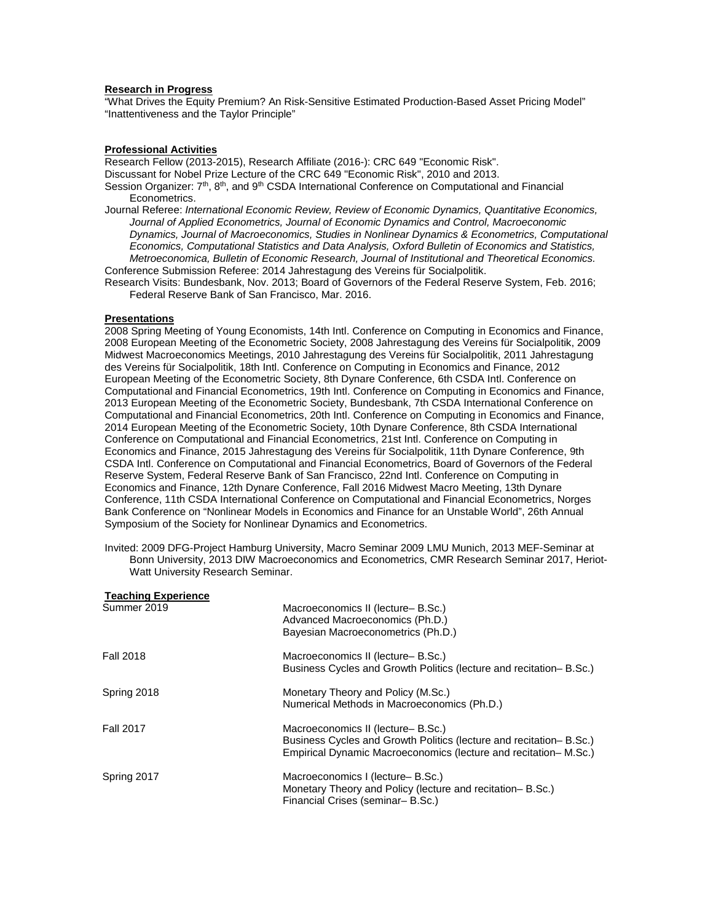#### **Research in Progress**

"What Drives the Equity Premium? An Risk-Sensitive Estimated Production-Based Asset Pricing Model" "Inattentiveness and the Taylor Principle"

### **Professional Activities**

Research Fellow (2013-2015), Research Affiliate (2016-): CRC 649 "Economic Risk". Discussant for Nobel Prize Lecture of the CRC 649 "Economic Risk", 2010 and 2013. Session Organizer: 7<sup>th</sup>, 8<sup>th</sup>, and 9<sup>th</sup> CSDA International Conference on Computational and Financial Econometrics.

Journal Referee: *International Economic Review, Review of Economic Dynamics, Quantitative Economics, Journal of Applied Econometrics, Journal of Economic Dynamics and Control, Macroeconomic Dynamics, Journal of Macroeconomics, Studies in Nonlinear Dynamics & Econometrics, Computational Economics, Computational Statistics and Data Analysis, Oxford Bulletin of Economics and Statistics, Metroeconomica, Bulletin of Economic Research, Journal of Institutional and Theoretical Economics.* Conference Submission Referee: 2014 Jahrestagung des Vereins für Socialpolitik.

Research Visits: Bundesbank, Nov. 2013; Board of Governors of the Federal Reserve System, Feb. 2016; Federal Reserve Bank of San Francisco, Mar. 2016.

#### **Presentations**

2008 Spring Meeting of Young Economists, 14th Intl. Conference on Computing in Economics and Finance, 2008 European Meeting of the Econometric Society, 2008 Jahrestagung des Vereins für Socialpolitik, 2009 Midwest Macroeconomics Meetings, 2010 Jahrestagung des Vereins für Socialpolitik, 2011 Jahrestagung des Vereins für Socialpolitik, 18th Intl. Conference on Computing in Economics and Finance, 2012 European Meeting of the Econometric Society, 8th Dynare Conference, 6th CSDA Intl. Conference on Computational and Financial Econometrics, 19th Intl. Conference on Computing in Economics and Finance, 2013 European Meeting of the Econometric Society, Bundesbank, 7th CSDA International Conference on Computational and Financial Econometrics, 20th Intl. Conference on Computing in Economics and Finance, 2014 European Meeting of the Econometric Society, 10th Dynare Conference, 8th CSDA International Conference on Computational and Financial Econometrics, 21st Intl. Conference on Computing in Economics and Finance, 2015 Jahrestagung des Vereins für Socialpolitik, 11th Dynare Conference, 9th CSDA Intl. Conference on Computational and Financial Econometrics, Board of Governors of the Federal Reserve System, Federal Reserve Bank of San Francisco, 22nd Intl. Conference on Computing in Economics and Finance, 12th Dynare Conference, Fall 2016 Midwest Macro Meeting, 13th Dynare Conference, 11th CSDA International Conference on Computational and Financial Econometrics, Norges Bank Conference on "Nonlinear Models in Economics and Finance for an Unstable World", 26th Annual Symposium of the Society for Nonlinear Dynamics and Econometrics.

Invited: 2009 DFG-Project Hamburg University, Macro Seminar 2009 LMU Munich, 2013 MEF-Seminar at Bonn University, 2013 DIW Macroeconomics and Econometrics, CMR Research Seminar 2017, Heriot-Watt University Research Seminar.

| <b>Teaching Experience</b> |                                                                                                                                                                              |
|----------------------------|------------------------------------------------------------------------------------------------------------------------------------------------------------------------------|
| Summer 2019                | Macroeconomics II (lecture-B.Sc.)<br>Advanced Macroeconomics (Ph.D.)<br>Bayesian Macroeconometrics (Ph.D.)                                                                   |
| <b>Fall 2018</b>           | Macroeconomics II (lecture-B.Sc.)<br>Business Cycles and Growth Politics (lecture and recitation– B.Sc.)                                                                     |
| Spring 2018                | Monetary Theory and Policy (M.Sc.)<br>Numerical Methods in Macroeconomics (Ph.D.)                                                                                            |
| <b>Fall 2017</b>           | Macroeconomics II (lecture-B.Sc.)<br>Business Cycles and Growth Politics (lecture and recitation– B.Sc.)<br>Empirical Dynamic Macroeconomics (lecture and recitation– M.Sc.) |
| Spring 2017                | Macroeconomics I (lecture – B.Sc.)<br>Monetary Theory and Policy (lecture and recitation– B.Sc.)<br>Financial Crises (seminar-B.Sc.)                                         |